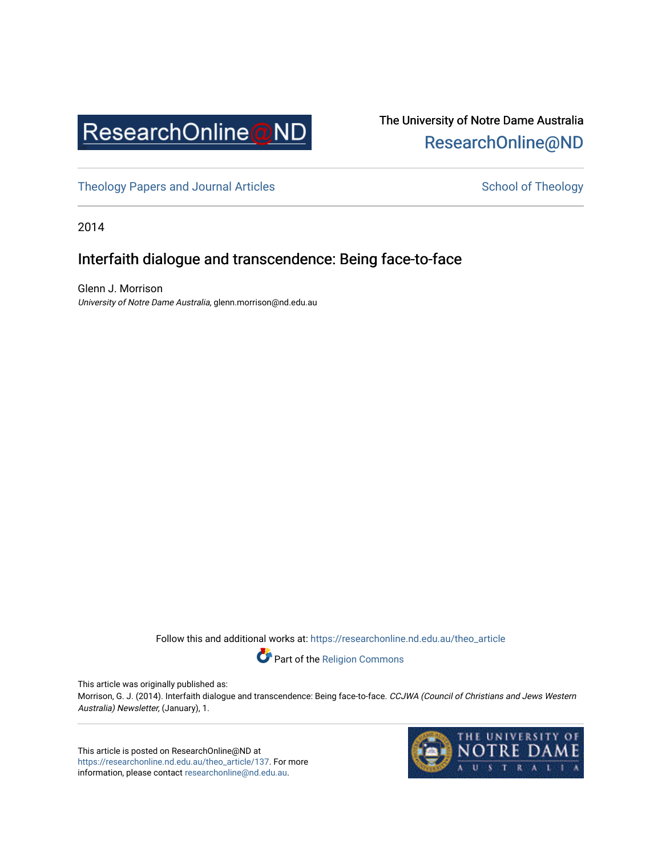

## The University of Notre Dame Australia [ResearchOnline@ND](https://researchonline.nd.edu.au/)

[Theology Papers and Journal Articles](https://researchonline.nd.edu.au/theo_article) and [School of Theology](https://researchonline.nd.edu.au/theo) School of Theology

2014

## Interfaith dialogue and transcendence: Being face-to-face

Glenn J. Morrison University of Notre Dame Australia, glenn.morrison@nd.edu.au

Follow this and additional works at: [https://researchonline.nd.edu.au/theo\\_article](https://researchonline.nd.edu.au/theo_article?utm_source=researchonline.nd.edu.au%2Ftheo_article%2F137&utm_medium=PDF&utm_campaign=PDFCoverPages) 

Part of the [Religion Commons](http://network.bepress.com/hgg/discipline/538?utm_source=researchonline.nd.edu.au%2Ftheo_article%2F137&utm_medium=PDF&utm_campaign=PDFCoverPages) 

This article was originally published as:

Morrison, G. J. (2014). Interfaith dialogue and transcendence: Being face-to-face. CCJWA (Council of Christians and Jews Western Australia) Newsletter, (January), 1.

This article is posted on ResearchOnline@ND at [https://researchonline.nd.edu.au/theo\\_article/137](https://researchonline.nd.edu.au/theo_article/137). For more information, please contact [researchonline@nd.edu.au.](mailto:researchonline@nd.edu.au)